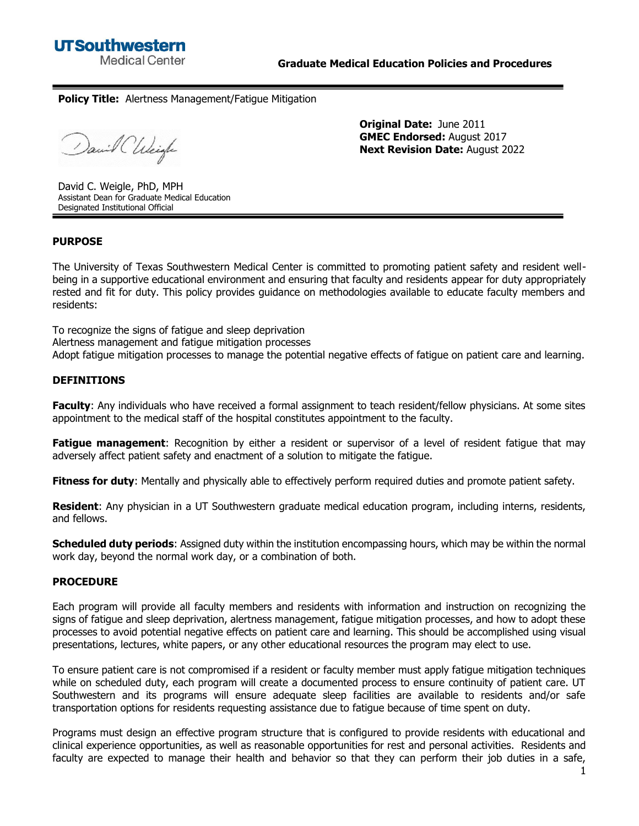# **Policy Title:** Alertness Management/Fatigue Mitigation

David Chleigh

**Original Date:** June 2011 **GMEC Endorsed:** August 2017 **Next Revision Date:** August 2022

David C. Weigle, PhD, MPH Assistant Dean for Graduate Medical Education Designated Institutional Official

# **PURPOSE**

The University of Texas Southwestern Medical Center is committed to promoting patient safety and resident wellbeing in a supportive educational environment and ensuring that faculty and residents appear for duty appropriately rested and fit for duty. This policy provides guidance on methodologies available to educate faculty members and residents:

To recognize the signs of fatigue and sleep deprivation

Alertness management and fatigue mitigation processes

Adopt fatigue mitigation processes to manage the potential negative effects of fatigue on patient care and learning.

### **DEFINITIONS**

**Faculty**: Any individuals who have received a formal assignment to teach resident/fellow physicians. At some sites appointment to the medical staff of the hospital constitutes appointment to the faculty.

**Fatigue management**: Recognition by either a resident or supervisor of a level of resident fatigue that may adversely affect patient safety and enactment of a solution to mitigate the fatigue.

**Fitness for duty**: Mentally and physically able to effectively perform required duties and promote patient safety.

**Resident**: Any physician in a UT Southwestern graduate medical education program, including interns, residents, and fellows.

**Scheduled duty periods**: Assigned duty within the institution encompassing hours, which may be within the normal work day, beyond the normal work day, or a combination of both.

### **PROCEDURE**

Each program will provide all faculty members and residents with information and instruction on recognizing the signs of fatigue and sleep deprivation, alertness management, fatigue mitigation processes, and how to adopt these processes to avoid potential negative effects on patient care and learning. This should be accomplished using visual presentations, lectures, white papers, or any other educational resources the program may elect to use.

To ensure patient care is not compromised if a resident or faculty member must apply fatigue mitigation techniques while on scheduled duty, each program will create a documented process to ensure continuity of patient care. UT Southwestern and its programs will ensure adequate sleep facilities are available to residents and/or safe transportation options for residents requesting assistance due to fatigue because of time spent on duty.

Programs must design an effective program structure that is configured to provide residents with educational and clinical experience opportunities, as well as reasonable opportunities for rest and personal activities. Residents and faculty are expected to manage their health and behavior so that they can perform their job duties in a safe,